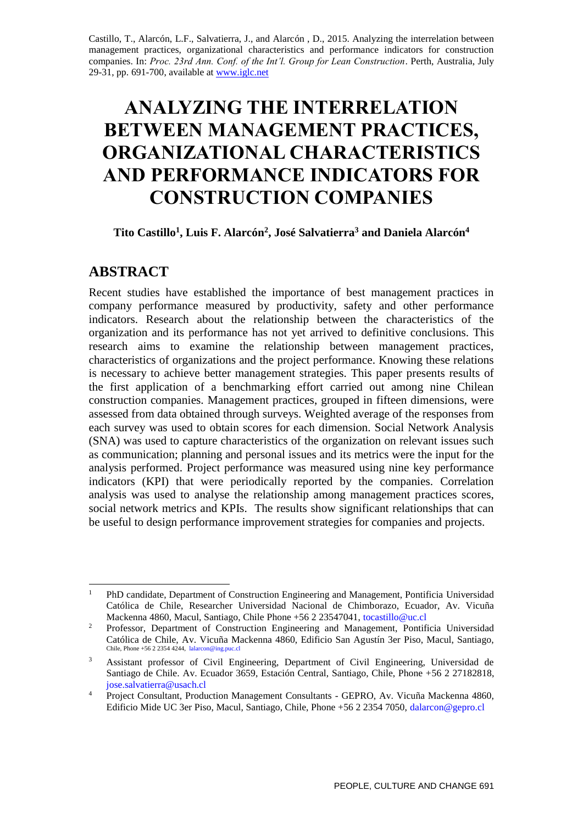Castillo, T., Alarcón, L.F., Salvatierra, J., and Alarcón , D., 2015. Analyzing the interrelation between management practices, organizational characteristics and performance indicators for construction companies. In: *Proc. 23rd Ann. Conf. of the Int'l. Group for Lean Construction*. Perth, Australia, July 29-31, pp. 691-700, available a[t www.iglc.net](http://www.iglc.net/)

# **ANALYZING THE INTERRELATION BETWEEN MANAGEMENT PRACTICES, ORGANIZATIONAL CHARACTERISTICS AND PERFORMANCE INDICATORS FOR CONSTRUCTION COMPANIES**

**Tito Castillo<sup>1</sup> , Luis F. Alarcón<sup>2</sup> , José Salvatierra<sup>3</sup> and Daniela Alarcón<sup>4</sup>**

## **ABSTRACT**

Recent studies have established the importance of best management practices in company performance measured by productivity, safety and other performance indicators. Research about the relationship between the characteristics of the organization and its performance has not yet arrived to definitive conclusions. This research aims to examine the relationship between management practices, characteristics of organizations and the project performance. Knowing these relations is necessary to achieve better management strategies. This paper presents results of the first application of a benchmarking effort carried out among nine Chilean construction companies. Management practices, grouped in fifteen dimensions, were assessed from data obtained through surveys. Weighted average of the responses from each survey was used to obtain scores for each dimension. Social Network Analysis (SNA) was used to capture characteristics of the organization on relevant issues such as communication; planning and personal issues and its metrics were the input for the analysis performed. Project performance was measured using nine key performance indicators (KPI) that were periodically reported by the companies. Correlation analysis was used to analyse the relationship among management practices scores, social network metrics and KPIs. The results show significant relationships that can be useful to design performance improvement strategies for companies and projects.

 $\mathbf{1}$ <sup>1</sup> PhD candidate, Department of Construction Engineering and Management, Pontificia Universidad Católica de Chile, Researcher Universidad Nacional de Chimborazo, Ecuador, Av. Vicuña Mackenna 4860, Macul, Santiago, Chile Phone +56 2 23547041, tocastillo@uc.cl

<sup>2</sup> Professor, Department of Construction Engineering and Management, Pontificia Universidad Católica de Chile, Av. Vicuña Mackenna 4860, Edificio San Agustín 3er Piso, Macul, Santiago, Chile, Phone +56 2 2354 4244, lalarcon@ing.puc.cl

<sup>&</sup>lt;sup>3</sup> Assistant professor of Civil Engineering, Department of Civil Engineering, Universidad de Santiago de Chile. Av. Ecuador 3659, Estación Central, Santiago, Chile, Phone +56 2 27182818, jose.salvatierra@usach.cl

<sup>4</sup> Project Consultant, Production Management Consultants - GEPRO, Av. Vicuña Mackenna 4860, Edificio Mide UC 3er Piso, Macul, Santiago, Chile, Phone +56 2 2354 7050, dalarcon@gepro.cl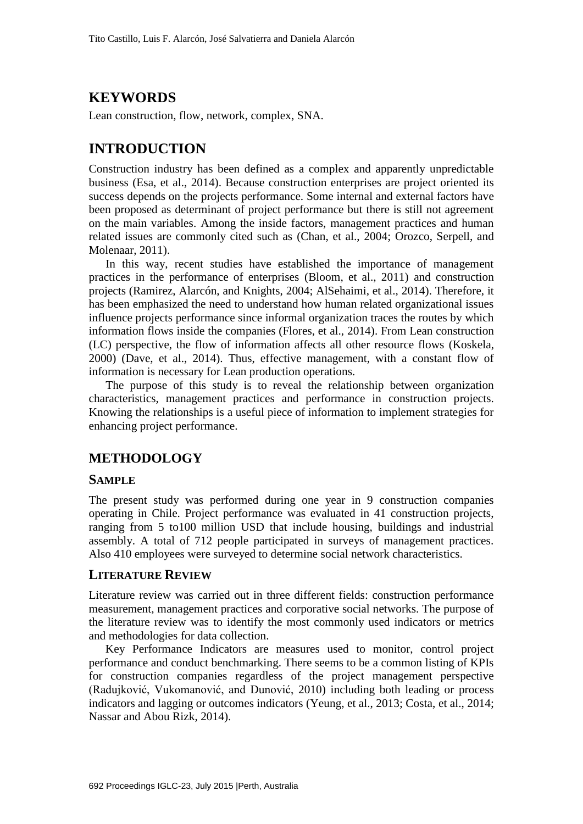## **KEYWORDS**

Lean construction, flow, network, complex, SNA.

## **INTRODUCTION**

Construction industry has been defined as a complex and apparently unpredictable business (Esa, et al., 2014). Because construction enterprises are project oriented its success depends on the projects performance. Some internal and external factors have been proposed as determinant of project performance but there is still not agreement on the main variables. Among the inside factors, management practices and human related issues are commonly cited such as (Chan, et al., 2004; Orozco, Serpell, and Molenaar, 2011).

In this way, recent studies have established the importance of management practices in the performance of enterprises (Bloom, et al., 2011) and construction projects (Ramirez, Alarcón, and Knights, 2004; AlSehaimi, et al., 2014). Therefore, it has been emphasized the need to understand how human related organizational issues influence projects performance since informal organization traces the routes by which information flows inside the companies (Flores, et al., 2014). From Lean construction (LC) perspective, the flow of information affects all other resource flows (Koskela, 2000) (Dave, et al., 2014). Thus, effective management, with a constant flow of information is necessary for Lean production operations.

The purpose of this study is to reveal the relationship between organization characteristics, management practices and performance in construction projects. Knowing the relationships is a useful piece of information to implement strategies for enhancing project performance.

## **METHODOLOGY**

#### **SAMPLE**

The present study was performed during one year in 9 construction companies operating in Chile. Project performance was evaluated in 41 construction projects, ranging from 5 to100 million USD that include housing, buildings and industrial assembly. A total of 712 people participated in surveys of management practices. Also 410 employees were surveyed to determine social network characteristics.

### **LITERATURE REVIEW**

Literature review was carried out in three different fields: construction performance measurement, management practices and corporative social networks. The purpose of the literature review was to identify the most commonly used indicators or metrics and methodologies for data collection.

Key Performance Indicators are measures used to monitor, control project performance and conduct benchmarking. There seems to be a common listing of KPIs for construction companies regardless of the project management perspective (Radujković, Vukomanović, and Dunović, 2010) including both leading or process indicators and lagging or outcomes indicators (Yeung, et al., 2013; Costa, et al., 2014; Nassar and Abou Rizk, 2014).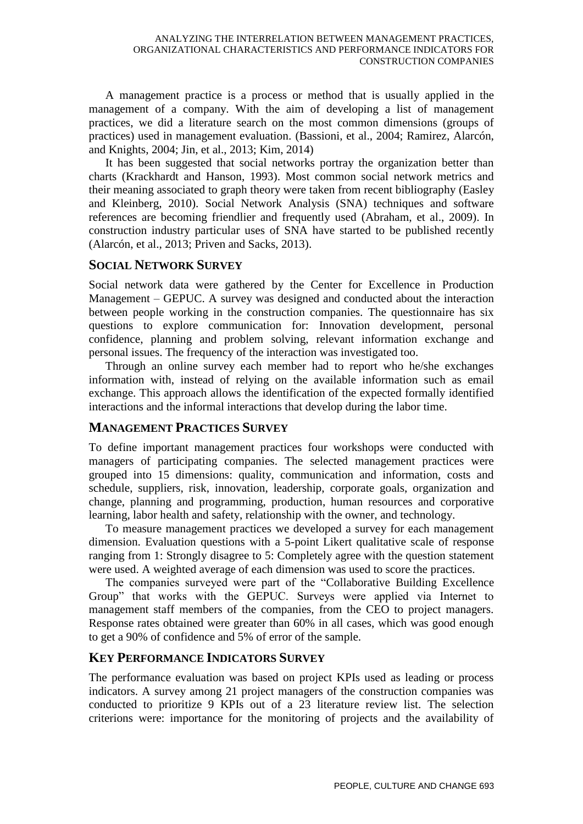A management practice is a process or method that is usually applied in the management of a company. With the aim of developing a list of management practices, we did a literature search on the most common dimensions (groups of practices) used in management evaluation. (Bassioni, et al., 2004; Ramirez, Alarcón, and Knights, 2004; Jin, et al., 2013; Kim, 2014)

It has been suggested that social networks portray the organization better than charts (Krackhardt and Hanson, 1993). Most common social network metrics and their meaning associated to graph theory were taken from recent bibliography (Easley and Kleinberg, 2010). Social Network Analysis (SNA) techniques and software references are becoming friendlier and frequently used (Abraham, et al., 2009). In construction industry particular uses of SNA have started to be published recently (Alarcón, et al., 2013; Priven and Sacks, 2013).

## **SOCIAL NETWORK SURVEY**

Social network data were gathered by the Center for Excellence in Production Management – GEPUC. A survey was designed and conducted about the interaction between people working in the construction companies. The questionnaire has six questions to explore communication for: Innovation development, personal confidence, planning and problem solving, relevant information exchange and personal issues. The frequency of the interaction was investigated too.

Through an online survey each member had to report who he/she exchanges information with, instead of relying on the available information such as email exchange. This approach allows the identification of the expected formally identified interactions and the informal interactions that develop during the labor time.

## **MANAGEMENT PRACTICES SURVEY**

To define important management practices four workshops were conducted with managers of participating companies. The selected management practices were grouped into 15 dimensions: quality, communication and information, costs and schedule, suppliers, risk, innovation, leadership, corporate goals, organization and change, planning and programming, production, human resources and corporative learning, labor health and safety, relationship with the owner, and technology.

To measure management practices we developed a survey for each management dimension. Evaluation questions with a 5-point Likert qualitative scale of response ranging from 1: Strongly disagree to 5: Completely agree with the question statement were used. A weighted average of each dimension was used to score the practices.

The companies surveyed were part of the "Collaborative Building Excellence Group" that works with the GEPUC. Surveys were applied via Internet to management staff members of the companies, from the CEO to project managers. Response rates obtained were greater than 60% in all cases, which was good enough to get a 90% of confidence and 5% of error of the sample.

## **KEY PERFORMANCE INDICATORS SURVEY**

The performance evaluation was based on project KPIs used as leading or process indicators. A survey among 21 project managers of the construction companies was conducted to prioritize 9 KPIs out of a 23 literature review list. The selection criterions were: importance for the monitoring of projects and the availability of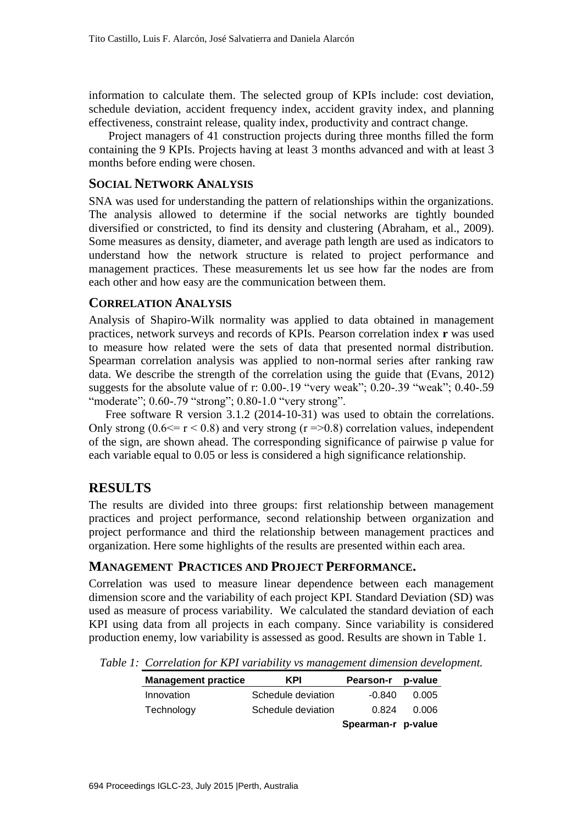information to calculate them. The selected group of KPIs include: cost deviation, schedule deviation, accident frequency index, accident gravity index, and planning effectiveness, constraint release, quality index, productivity and contract change.

Project managers of 41 construction projects during three months filled the form containing the 9 KPIs. Projects having at least 3 months advanced and with at least 3 months before ending were chosen.

#### **SOCIAL NETWORK ANALYSIS**

SNA was used for understanding the pattern of relationships within the organizations. The analysis allowed to determine if the social networks are tightly bounded diversified or constricted, to find its density and clustering (Abraham, et al., 2009). Some measures as density, diameter, and average path length are used as indicators to understand how the network structure is related to project performance and management practices. These measurements let us see how far the nodes are from each other and how easy are the communication between them.

#### **CORRELATION ANALYSIS**

Analysis of Shapiro-Wilk normality was applied to data obtained in management practices, network surveys and records of KPIs. Pearson correlation index **r** was used to measure how related were the sets of data that presented normal distribution. Spearman correlation analysis was applied to non-normal series after ranking raw data. We describe the strength of the correlation using the guide that (Evans, 2012) suggests for the absolute value of r: 0.00-.19 "very weak"; 0.20-.39 "weak"; 0.40-.59 "moderate"; 0.60-.79 "strong"; 0.80-1.0 "very strong".

Free software R version 3.1.2 (2014-10-31) was used to obtain the correlations. Only strong  $(0.6 \le r \le 0.8)$  and very strong  $(r = 0.8)$  correlation values, independent of the sign, are shown ahead. The corresponding significance of pairwise p value for each variable equal to 0.05 or less is considered a high significance relationship.

### **RESULTS**

The results are divided into three groups: first relationship between management practices and project performance, second relationship between organization and project performance and third the relationship between management practices and organization. Here some highlights of the results are presented within each area.

#### **MANAGEMENT PRACTICES AND PROJECT PERFORMANCE.**

Correlation was used to measure linear dependence between each management dimension score and the variability of each project KPI. Standard Deviation (SD) was used as measure of process variability. We calculated the standard deviation of each KPI using data from all projects in each company. Since variability is considered production enemy, low variability is assessed as good. Results are shown in Table 1.

*Table 1: Correlation for KPI variability vs management dimension development.*

| <b>Management practice</b> | <b>KPI</b>         | <b>Pearson-r</b>   | p-value |
|----------------------------|--------------------|--------------------|---------|
| Innovation                 | Schedule deviation | -0.840             | 0.005   |
| Technology                 | Schedule deviation | 0.824              | 0.006   |
|                            |                    | Spearman-r p-value |         |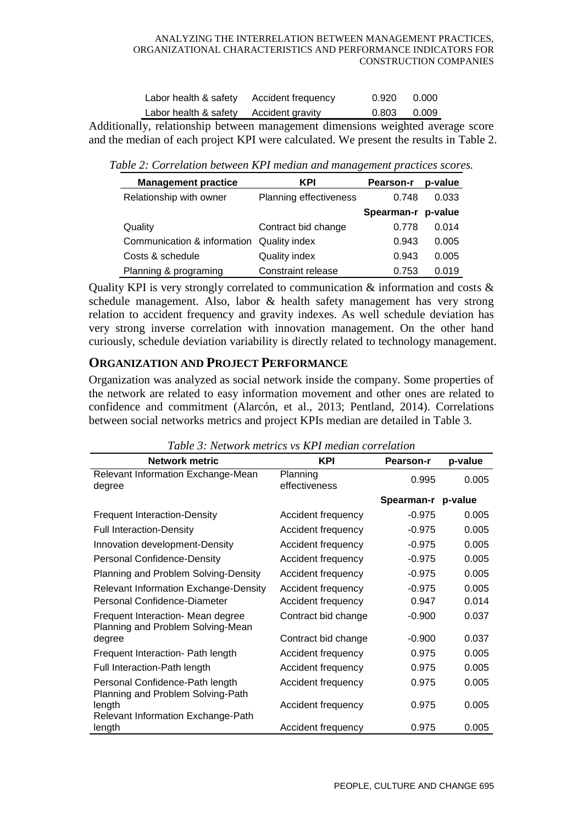#### ANALYZING THE INTERRELATION BETWEEN MANAGEMENT PRACTICES, ORGANIZATIONAL CHARACTERISTICS AND PERFORMANCE INDICATORS FOR CONSTRUCTION COMPANIES

| Labor health & safety | Accident frequency | 0.920 | 0.000 |
|-----------------------|--------------------|-------|-------|
| Labor health & safety | Accident gravity   | 0.803 | 0.009 |

Additionally, relationship between management dimensions weighted average score and the median of each project KPI were calculated. We present the results in Table 2.

*Table 2: Correlation between KPI median and management practices scores.*

| <b>Management practice</b>                | <b>KPI</b>                    | <b>Pearson-r</b>   | p-value |
|-------------------------------------------|-------------------------------|--------------------|---------|
| Relationship with owner                   | <b>Planning effectiveness</b> | 0.748              | 0.033   |
|                                           |                               | Spearman-r p-value |         |
| Quality                                   | Contract bid change           | 0.778              | 0.014   |
| Communication & information Quality index |                               | 0.943              | 0.005   |
| Costs & schedule                          | Quality index                 | 0.943              | 0.005   |
| Planning & programing                     | Constraint release            | 0.753              | 0.019   |

Quality KPI is very strongly correlated to communication  $\&$  information and costs  $\&$ schedule management. Also, labor & health safety management has very strong relation to accident frequency and gravity indexes. As well schedule deviation has very strong inverse correlation with innovation management. On the other hand curiously, schedule deviation variability is directly related to technology management.

## **ORGANIZATION AND PROJECT PERFORMANCE**

Organization was analyzed as social network inside the company. Some properties of the network are related to easy information movement and other ones are related to confidence and commitment (Alarcón, et al., 2013; Pentland, 2014). Correlations between social networks metrics and project KPIs median are detailed in Table 3.

| <b>Network metric</b>                                                  | <b>KPI</b>                | <b>Pearson-r</b> | p-value |
|------------------------------------------------------------------------|---------------------------|------------------|---------|
| Relevant Information Exchange-Mean<br>degree                           | Planning<br>effectiveness | 0.995            | 0.005   |
|                                                                        |                           | Spearman-r       | p-value |
| <b>Frequent Interaction-Density</b>                                    | Accident frequency        | $-0.975$         | 0.005   |
| <b>Full Interaction-Density</b>                                        | Accident frequency        | $-0.975$         | 0.005   |
| Innovation development-Density                                         | Accident frequency        | $-0.975$         | 0.005   |
| <b>Personal Confidence-Density</b>                                     | Accident frequency        | $-0.975$         | 0.005   |
| Planning and Problem Solving-Density                                   | Accident frequency        | $-0.975$         | 0.005   |
| <b>Relevant Information Exchange-Density</b>                           | Accident frequency        | $-0.975$         | 0.005   |
| Personal Confidence-Diameter                                           | Accident frequency        | 0.947            | 0.014   |
| Frequent Interaction- Mean degree<br>Planning and Problem Solving-Mean | Contract bid change       | $-0.900$         | 0.037   |
| degree                                                                 | Contract bid change       | $-0.900$         | 0.037   |
| Frequent Interaction- Path length                                      | Accident frequency        | 0.975            | 0.005   |
| Full Interaction-Path length                                           | Accident frequency        | 0.975            | 0.005   |
| Personal Confidence-Path length<br>Planning and Problem Solving-Path   | Accident frequency        | 0.975            | 0.005   |
| length<br>Relevant Information Exchange-Path                           | Accident frequency        | 0.975            | 0.005   |
| length                                                                 | Accident frequency        | 0.975            | 0.005   |

*Table 3: Network metrics vs KPI median correlation*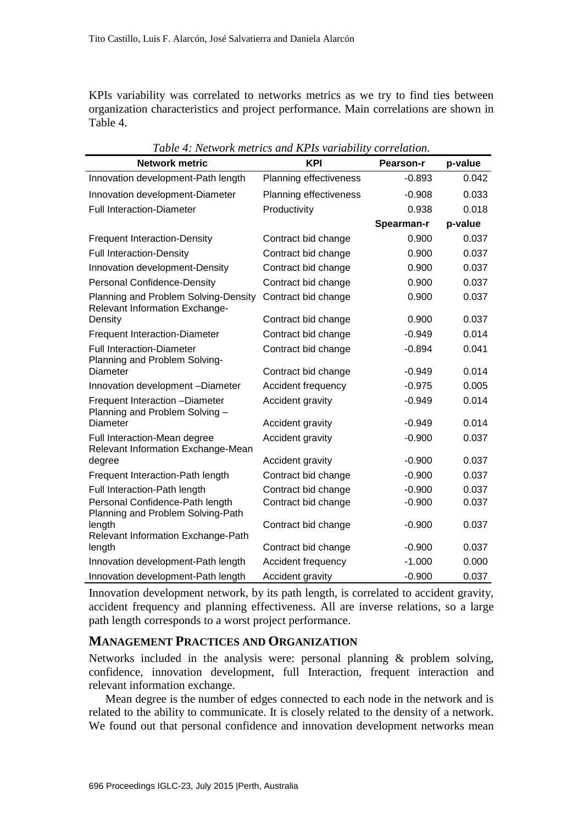KPIs variability was correlated to networks metrics as we try to find ties between organization characteristics and project performance. Main correlations are shown in Table 4.

| <b>Network metric</b>                                                  | <b>KPI</b>                    | Pearson-r  | p-value |
|------------------------------------------------------------------------|-------------------------------|------------|---------|
| Innovation development-Path length                                     | <b>Planning effectiveness</b> | $-0.893$   | 0.042   |
| Innovation development-Diameter                                        | Planning effectiveness        | $-0.908$   | 0.033   |
| <b>Full Interaction-Diameter</b>                                       | Productivity                  | 0.938      | 0.018   |
|                                                                        |                               | Spearman-r | p-value |
| <b>Frequent Interaction-Density</b>                                    | Contract bid change           | 0.900      | 0.037   |
| <b>Full Interaction-Density</b>                                        | Contract bid change           | 0.900      | 0.037   |
| Innovation development-Density                                         | Contract bid change           | 0.900      | 0.037   |
| <b>Personal Confidence-Density</b>                                     | Contract bid change           | 0.900      | 0.037   |
| Planning and Problem Solving-Density<br>Relevant Information Exchange- | Contract bid change           | 0.900      | 0.037   |
| Density                                                                | Contract bid change           | 0.900      | 0.037   |
| <b>Frequent Interaction-Diameter</b>                                   | Contract bid change           | $-0.949$   | 0.014   |
| <b>Full Interaction-Diameter</b><br>Planning and Problem Solving-      | Contract bid change           | $-0.894$   | 0.041   |
| Diameter                                                               | Contract bid change           | $-0.949$   | 0.014   |
| Innovation development -Diameter                                       | Accident frequency            | $-0.975$   | 0.005   |
| Frequent Interaction -Diameter<br>Planning and Problem Solving -       | Accident gravity              | $-0.949$   | 0.014   |
| Diameter                                                               | Accident gravity              | $-0.949$   | 0.014   |
| Full Interaction-Mean degree<br>Relevant Information Exchange-Mean     | Accident gravity              | $-0.900$   | 0.037   |
| degree                                                                 | Accident gravity              | $-0.900$   | 0.037   |
| Frequent Interaction-Path length                                       | Contract bid change           | $-0.900$   | 0.037   |
| Full Interaction-Path length                                           | Contract bid change           | $-0.900$   | 0.037   |
| Personal Confidence-Path length<br>Planning and Problem Solving-Path   | Contract bid change           | $-0.900$   | 0.037   |
| length<br>Relevant Information Exchange-Path                           | Contract bid change           | $-0.900$   | 0.037   |
| length                                                                 | Contract bid change           | $-0.900$   | 0.037   |
| Innovation development-Path length                                     | Accident frequency            | $-1.000$   | 0.000   |
| Innovation development-Path length                                     | Accident gravity              | $-0.900$   | 0.037   |

*Table 4: Network metrics and KPIs variability correlation.*

Innovation development network, by its path length, is correlated to accident gravity, accident frequency and planning effectiveness. All are inverse relations, so a large path length corresponds to a worst project performance.

#### **MANAGEMENT PRACTICES AND ORGANIZATION**

Networks included in the analysis were: personal planning & problem solving, confidence, innovation development, full Interaction, frequent interaction and relevant information exchange.

Mean degree is the number of edges connected to each node in the network and is related to the ability to communicate. It is closely related to the density of a network. We found out that personal confidence and innovation development networks mean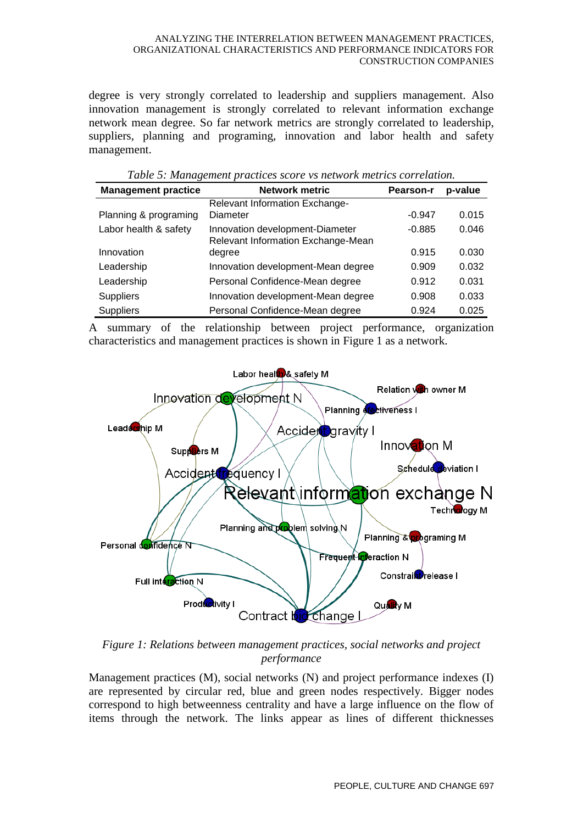#### ANALYZING THE INTERRELATION BETWEEN MANAGEMENT PRACTICES, ORGANIZATIONAL CHARACTERISTICS AND PERFORMANCE INDICATORS FOR CONSTRUCTION COMPANIES

degree is very strongly correlated to leadership and suppliers management. Also innovation management is strongly correlated to relevant information exchange network mean degree. So far network metrics are strongly correlated to leadership, suppliers, planning and programing, innovation and labor health and safety management.

| <b>Management practice</b> | <b>Network metric</b>                                                 | <b>Pearson-r</b> | p-value |
|----------------------------|-----------------------------------------------------------------------|------------------|---------|
|                            | Relevant Information Exchange-                                        |                  |         |
| Planning & programing      | Diameter                                                              | $-0.947$         | 0.015   |
| Labor health & safety      | Innovation development-Diameter<br>Relevant Information Exchange-Mean | $-0.885$         | 0.046   |
| Innovation                 | degree                                                                | 0.915            | 0.030   |
| Leadership                 | Innovation development-Mean degree                                    | 0.909            | 0.032   |
| Leadership                 | Personal Confidence-Mean degree                                       | 0.912            | 0.031   |
| <b>Suppliers</b>           | Innovation development-Mean degree                                    | 0.908            | 0.033   |
| <b>Suppliers</b>           | Personal Confidence-Mean degree                                       | 0.924            | 0.025   |

| Table 5: Management practices score vs network metrics correlation. |  |
|---------------------------------------------------------------------|--|
|---------------------------------------------------------------------|--|

A summary of the relationship between project performance, organization characteristics and management practices is shown in Figure 1 as a network.



*Figure 1: Relations between management practices, social networks and project performance*

Management practices (M), social networks (N) and project performance indexes (I) are represented by circular red, blue and green nodes respectively. Bigger nodes correspond to high betweenness centrality and have a large influence on the flow of items through the network. The links appear as lines of different thicknesses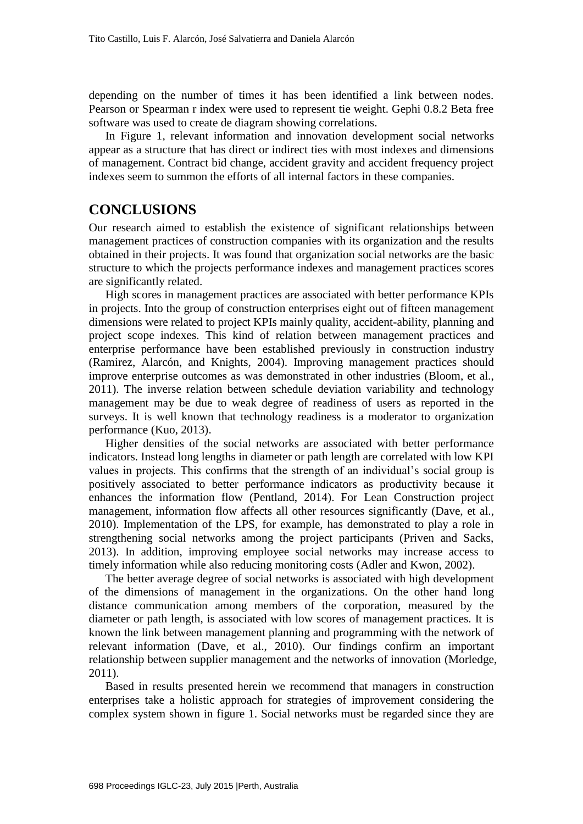depending on the number of times it has been identified a link between nodes. Pearson or Spearman r index were used to represent tie weight. Gephi 0.8.2 Beta free software was used to create de diagram showing correlations.

In Figure 1, relevant information and innovation development social networks appear as a structure that has direct or indirect ties with most indexes and dimensions of management. Contract bid change, accident gravity and accident frequency project indexes seem to summon the efforts of all internal factors in these companies.

## **CONCLUSIONS**

Our research aimed to establish the existence of significant relationships between management practices of construction companies with its organization and the results obtained in their projects. It was found that organization social networks are the basic structure to which the projects performance indexes and management practices scores are significantly related.

High scores in management practices are associated with better performance KPIs in projects. Into the group of construction enterprises eight out of fifteen management dimensions were related to project KPIs mainly quality, accident-ability, planning and project scope indexes. This kind of relation between management practices and enterprise performance have been established previously in construction industry (Ramirez, Alarcón, and Knights, 2004). Improving management practices should improve enterprise outcomes as was demonstrated in other industries (Bloom, et al., 2011). The inverse relation between schedule deviation variability and technology management may be due to weak degree of readiness of users as reported in the surveys. It is well known that technology readiness is a moderator to organization performance (Kuo, 2013).

Higher densities of the social networks are associated with better performance indicators. Instead long lengths in diameter or path length are correlated with low KPI values in projects. This confirms that the strength of an individual's social group is positively associated to better performance indicators as productivity because it enhances the information flow (Pentland, 2014). For Lean Construction project management, information flow affects all other resources significantly (Dave, et al., 2010). Implementation of the LPS, for example, has demonstrated to play a role in strengthening social networks among the project participants (Priven and Sacks, 2013). In addition, improving employee social networks may increase access to timely information while also reducing monitoring costs (Adler and Kwon, 2002).

The better average degree of social networks is associated with high development of the dimensions of management in the organizations. On the other hand long distance communication among members of the corporation, measured by the diameter or path length, is associated with low scores of management practices. It is known the link between management planning and programming with the network of relevant information (Dave, et al., 2010). Our findings confirm an important relationship between supplier management and the networks of innovation (Morledge, 2011).

Based in results presented herein we recommend that managers in construction enterprises take a holistic approach for strategies of improvement considering the complex system shown in figure 1. Social networks must be regarded since they are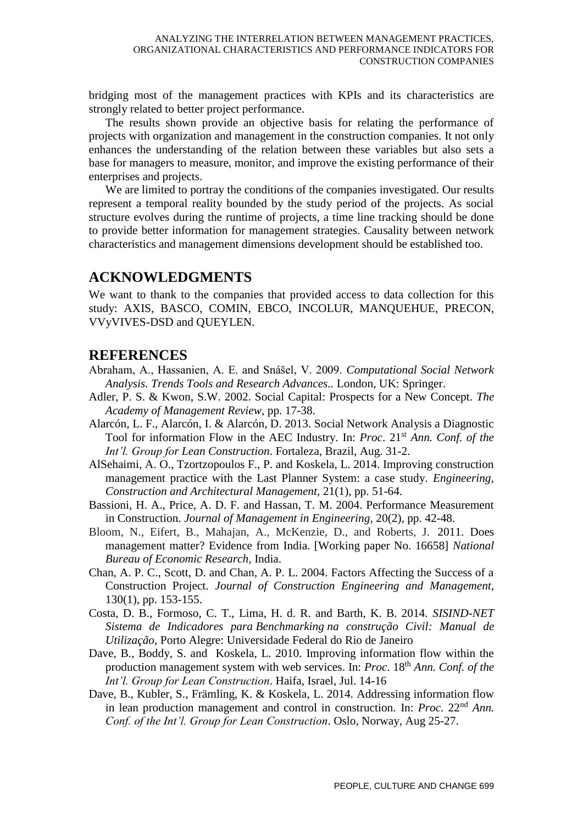bridging most of the management practices with KPIs and its characteristics are strongly related to better project performance.

The results shown provide an objective basis for relating the performance of projects with organization and management in the construction companies. It not only enhances the understanding of the relation between these variables but also sets a base for managers to measure, monitor, and improve the existing performance of their enterprises and projects.

We are limited to portray the conditions of the companies investigated. Our results represent a temporal reality bounded by the study period of the projects. As social structure evolves during the runtime of projects, a time line tracking should be done to provide better information for management strategies. Causality between network characteristics and management dimensions development should be established too.

## **ACKNOWLEDGMENTS**

We want to thank to the companies that provided access to data collection for this study: AXIS, BASCO, COMIN, EBCO, INCOLUR, MANQUEHUE, PRECON, VVyVIVES-DSD and QUEYLEN.

## **REFERENCES**

- Abraham, A., Hassanien, A. E. and Snášel, V. 2009. *Computational Social Network Analysis. Trends Tools and Research Advances..* London, UK: Springer.
- Adler, P. S. & Kwon, S.W. 2002. Social Capital: Prospects for a New Concept. *The Academy of Management Review,* pp. 17-38.
- Alarcón, L. F., Alarcón, I. & Alarcón, D. 2013. Social Network Analysis a Diagnostic Tool for information Flow in the AEC Industry. In: *Proc*. 21st *Ann. Conf. of the Int'l. Group for Lean Construction*. Fortaleza, Brazil, Aug. 31-2.
- AlSehaimi, A. O., Tzortzopoulos F., P. and Koskela, L. 2014. Improving construction management practice with the Last Planner System: a case study. *Engineering, Construction and Architectural Management,* 21(1), pp. 51-64.
- Bassioni, H. A., Price, A. D. F. and Hassan, T. M. 2004. Performance Measurement in Construction. *Journal of Management in Engineering,* 20(2), pp. 42-48.
- Bloom, N., Eifert, B., Mahajan, A., McKenzie, D., and Roberts, J. 2011. Does management matter? Evidence from India. [Working paper No. 16658] *National Bureau of Economic Research,* India.
- Chan, A. P. C., Scott, D. and Chan, A. P. L. 2004. Factors Affecting the Success of a Construction Project. *Journal of Construction Engineering and Management,*  130(1), pp. 153-155.
- Costa, D. B., Formoso, C. T., Lima, H. d. R. and Barth, K. B. 2014. *SISIND-NET Sistema de Indicadores para Benchmarking na construção Civil: Manual de Utilização,* Porto Alegre: Universidade Federal do Rio de Janeiro
- Dave, B., Boddy, S. and Koskela, L. 2010. Improving information flow within the production management system with web services. In: *Proc.* 18<sup>th</sup> *Ann. Conf. of the Int'l. Group for Lean Construction*. Haifa, Israel, Jul. 14-16
- Dave, B., Kubler, S., Främling, K. & Koskela, L. 2014. Addressing information flow in lean production management and control in construction. In: *Proc.* 22<sup>nd</sup> *Ann. Conf. of the Int'l. Group for Lean Construction*. Oslo, Norway, Aug 25-27.